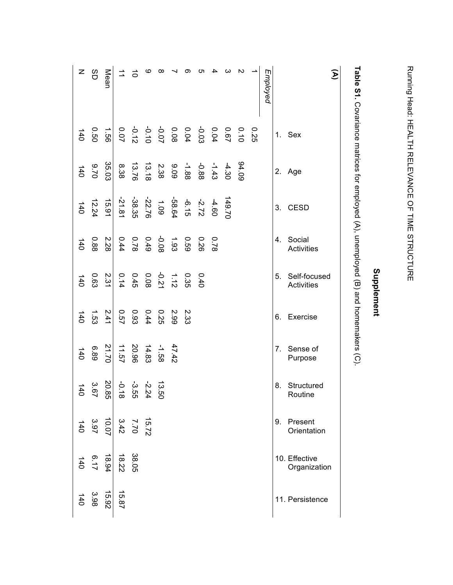|                                                                                    |      |                    |                       |                                                 | Supplement                                                                  |             |                     |                                                                      |                                                                                 |                               |                       |
|------------------------------------------------------------------------------------|------|--------------------|-----------------------|-------------------------------------------------|-----------------------------------------------------------------------------|-------------|---------------------|----------------------------------------------------------------------|---------------------------------------------------------------------------------|-------------------------------|-----------------------|
| Table S1. Covariance matrices for employed (A), unemployed (B) and homemakers (C). |      |                    |                       |                                                 |                                                                             |             |                     |                                                                      |                                                                                 |                               |                       |
| $\mathfrak{D}$                                                                     |      |                    |                       |                                                 |                                                                             |             |                     |                                                                      |                                                                                 |                               |                       |
|                                                                                    | Sex  | Age                | <b>CESD</b>           | Social<br>Activities                            | Self-focused<br>Activities                                                  | Exercise    | Sense of<br>Purpose | Structured<br>Routine                                                | 9. Present<br>Orientation                                                       | 10. Effective<br>Organization | 11. Persistence       |
|                                                                                    | 1.   | 2.                 | 3.                    | 4.                                              | 5.                                                                          | 6.          | 7.                  | 8.                                                                   |                                                                                 |                               |                       |
| Employed                                                                           |      |                    |                       |                                                 |                                                                             |             |                     |                                                                      |                                                                                 |                               |                       |
|                                                                                    |      |                    |                       |                                                 |                                                                             |             |                     |                                                                      |                                                                                 |                               |                       |
| $\sim$                                                                             |      | 60.76              |                       |                                                 |                                                                             |             |                     |                                                                      |                                                                                 |                               |                       |
| ω                                                                                  |      | $-4.30$            | 149.70                |                                                 |                                                                             |             |                     |                                                                      |                                                                                 |                               |                       |
| 4                                                                                  |      |                    |                       | 0.78                                            |                                                                             |             |                     |                                                                      |                                                                                 |                               |                       |
| ת                                                                                  |      | $-1.43$<br>$-0.88$ |                       | 0.26                                            | 0.40                                                                        |             |                     |                                                                      |                                                                                 |                               |                       |
| တ                                                                                  |      | $-1.88$            |                       | 630                                             | 0.35                                                                        | 2.33        |                     |                                                                      |                                                                                 |                               |                       |
|                                                                                    |      | $9.09$<br>2.38     |                       | $1.93$<br>$-0.93$<br>$0.78$<br>$0.74$<br>$0.44$ | $\begin{array}{ccc} 1.12 & -0.08 \\ 0.08 & 0.45 \\ 0.08 & 0.45 \end{array}$ | 5.99        | 47.42               |                                                                      |                                                                                 |                               |                       |
| ∞                                                                                  |      |                    |                       |                                                 |                                                                             | <b>0.25</b> | -1.58               |                                                                      |                                                                                 |                               |                       |
| ဖ                                                                                  |      | 13.18              |                       |                                                 |                                                                             | 0.44        | 14.83               | $\frac{13.50}{-2.24}$<br>$\frac{3.24}{-2.5}$<br>$\frac{3.54}{-2.18}$ |                                                                                 |                               |                       |
| $\vec{o}$                                                                          |      | 13.76              |                       |                                                 |                                                                             | 0.93        | 20.96               |                                                                      |                                                                                 | 38.05                         |                       |
|                                                                                    |      | 8.38               | $-21.81$              |                                                 | 0.14                                                                        | <b>257</b>  | <b>11.57</b>        | $-0.18$                                                              | $\begin{array}{ccc c}\n15.72 & 3.70 \\ 7.70 & 3.97 \\ 3.97 & 3.97\n\end{array}$ | 18.22                         | 15.87                 |
| Mean                                                                               | 99   | 35.03              | $\frac{15.91}{15.91}$ | 2.28                                            | $\frac{2.31}{2}$                                                            | 2.41        | 21.70               | 20.85                                                                |                                                                                 | $\frac{18.94}{ }$             | $\frac{15.92}{15.92}$ |
| 8D                                                                                 | 09.0 | 02.9               | 12.24                 | 0.88                                            | 0.63                                                                        | 1.53        | 68.8                | 3.67                                                                 |                                                                                 | 6.17                          | 3.98                  |
| Z                                                                                  | 140  | 140                | 140                   | 140                                             | 140                                                                         | 140         | 140                 | 140                                                                  | 140                                                                             | 140                           | 140                   |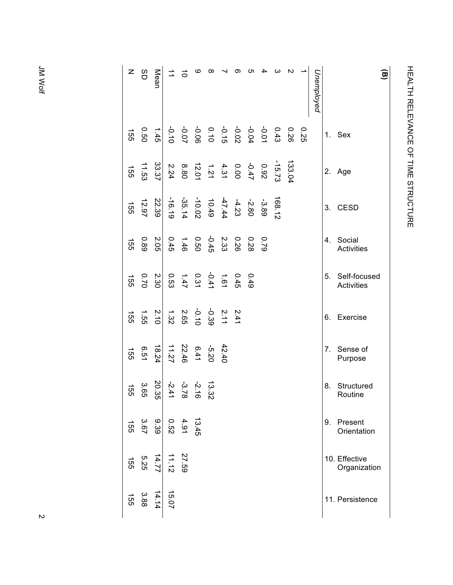| z                     | SD    | Mean  |             |       | $\pmb{\circ}$                                                                        | $\infty$                                                                                                                                                                                                                                                                                                                                             |       | တ | ပာ  |      |        |                    |      | Unemployed |    |                                   |
|-----------------------|-------|-------|-------------|-------|--------------------------------------------------------------------------------------|------------------------------------------------------------------------------------------------------------------------------------------------------------------------------------------------------------------------------------------------------------------------------------------------------------------------------------------------------|-------|---|-----|------|--------|--------------------|------|------------|----|-----------------------------------|
| <b>155</b>            | 09:0  | 1.45  |             |       |                                                                                      |                                                                                                                                                                                                                                                                                                                                                      |       |   |     |      |        |                    | 0.25 |            | 1. | Sex                               |
| $\overrightarrow{55}$ | 11.53 | 33.37 |             |       |                                                                                      | $\frac{1}{2}$<br>$\frac{1}{2}$<br>$\frac{1}{2}$<br>$\frac{1}{2}$<br>$\frac{1}{2}$<br>$\frac{1}{2}$<br>$\frac{1}{2}$<br>$\frac{1}{2}$<br>$\frac{1}{2}$<br>$\frac{1}{2}$<br>$\frac{1}{2}$<br>$\frac{1}{2}$<br>$\frac{1}{2}$<br>$\frac{1}{2}$<br>$\frac{1}{2}$<br>$\frac{1}{2}$<br>$\frac{1}{2}$<br>$\frac{1}{2}$<br>$\frac{1}{2}$<br>$\frac{1}{2}$<br> |       |   |     |      |        | 133.0 <sup>2</sup> |      |            | 2. | Age                               |
| 155                   | 12.97 | 22.39 |             |       |                                                                                      | $\frac{3}{2}$ 80<br>$\frac{3}{2}$ 80<br>$\frac{4}{2}$ 4<br>$\frac{4}{4}$ 4<br>$\frac{4}{9}$ 90<br>$\frac{4}{3}$<br>$\frac{4}{3}$<br>$\frac{4}{9}$<br>$\frac{4}{3}$<br>$\frac{4}{9}$<br>$\frac{4}{3}$<br>$\frac{4}{9}$<br>$\frac{4}{3}$                                                                                                               |       |   |     |      | 168.12 |                    |      |            | 3. | <b>CESD</b>                       |
| <b>155</b>            | 680   | 2.05  |             |       |                                                                                      | 0 2 3 3 4 5 6 7 7 8 9 9 1 4 5 6 7 7 8 9 9 9 1 4 5 6 7 4 5 $\frac{1}{2}$ 6 7 4 5 6 9 9 1 5 4 5 $\frac{1}{2}$                                                                                                                                                                                                                                          |       |   | 870 | 62.0 |        |                    |      |            | 4. | Social<br><b>Activities</b>       |
| 155                   | 0.70  | 2.30  |             |       |                                                                                      |                                                                                                                                                                                                                                                                                                                                                      |       |   |     |      |        |                    |      |            | 5. | Self-focused<br><b>Activities</b> |
| $\overrightarrow{55}$ | 1.55  | 2.10  |             |       |                                                                                      |                                                                                                                                                                                                                                                                                                                                                      |       |   |     |      |        |                    |      |            | 6. | Exercise                          |
| 155                   | 5.51  | 18.24 | 11.27       |       | $6.41$<br>22.46                                                                      | -5.20                                                                                                                                                                                                                                                                                                                                                | 42.40 |   |     |      |        |                    |      |            | 7. | Sense of<br>Purpose               |
| 465                   | 3.65  | 20.35 |             |       | $\frac{13}{3}$ $\frac{3}{4}$ $\frac{3}{1}$ $\frac{3}{8}$ $\frac{3}{1}$ $\frac{3}{4}$ |                                                                                                                                                                                                                                                                                                                                                      |       |   |     |      |        |                    |      |            | 8. | Structured<br>Routine             |
| 155                   | 3.67  | 9.39  | <b>0.52</b> | 4.91  | 13.45                                                                                |                                                                                                                                                                                                                                                                                                                                                      |       |   |     |      |        |                    |      |            | 9. | Present<br>Orientation            |
| $\overrightarrow{55}$ | 5.25  | 14.77 | 11.12       | 27.59 |                                                                                      |                                                                                                                                                                                                                                                                                                                                                      |       |   |     |      |        |                    |      |            |    | 10. Effective<br>Organization     |
| 155                   | 3.88  | 14.14 | 15.07       |       |                                                                                      |                                                                                                                                                                                                                                                                                                                                                      |       |   |     |      |        |                    |      |            |    | 11. Persistence                   |

HEALTH RELEVANCE OF TIME STRUCTURE

HEALTH RELEVANCE OF TIME STRUCTIONE

**(B)**

JM Wolf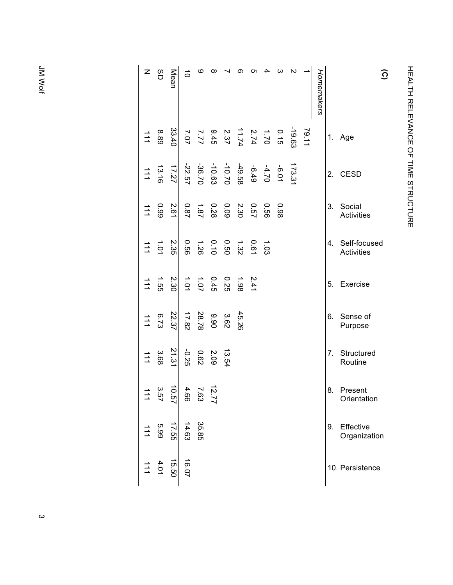| z                     | 8Đ    | Mean       | $\vec{0}$                                                                                                                                                                                                                                                                                                                                                                 | ဖ                                                              | $\infty$                                            |                                                                                                                 | တ     | cл | 4    | ယ    | $\mathbf{v}$ |       | Homemakers |    | <u>ි</u>                          |
|-----------------------|-------|------------|---------------------------------------------------------------------------------------------------------------------------------------------------------------------------------------------------------------------------------------------------------------------------------------------------------------------------------------------------------------------------|----------------------------------------------------------------|-----------------------------------------------------|-----------------------------------------------------------------------------------------------------------------|-------|----|------|------|--------------|-------|------------|----|-----------------------------------|
| $\frac{1}{1}$         | 8.89  |            |                                                                                                                                                                                                                                                                                                                                                                           |                                                                |                                                     |                                                                                                                 |       |    |      |      |              | 79.11 |            | 1. | Age                               |
| $\frac{1}{1}$         | 13.16 | 17.27      |                                                                                                                                                                                                                                                                                                                                                                           |                                                                |                                                     | $\begin{array}{cccc} 173.31 \\ +6.01 \\ +6.49 \\ -10.61 \\ -10.63 \\ -22.57 \\ -22.57 \\ -22.57 \\ \end{array}$ |       |    |      |      |              |       |            | 2. | <b>CESD</b>                       |
| $\overrightarrow{11}$ | 66.0  | 2.61       |                                                                                                                                                                                                                                                                                                                                                                           |                                                                |                                                     | $\begin{array}{ccc} 0.57 & 0.53 \\ 0.33 & 0.28 \\ 0.87 & 0.87 \end{array}$                                      |       |    | 92.0 | 0.98 |              |       |            | 3. | Social<br><b>Activities</b>       |
| $\frac{1}{1}$         | 10.1  | 2.35       |                                                                                                                                                                                                                                                                                                                                                                           |                                                                |                                                     | $1.021$<br>$0.011$<br>$0.011$<br>$0.01$<br>$0.01$<br>$0.00$                                                     |       |    |      |      |              |       |            | 4. | Self-focused<br><b>Activities</b> |
| $\frac{1}{1}$         | 1.55  |            | $\begin{array}{cccc}\n 21 & 4 & 0 & 0 & 4 & 4 \\  -2 & 3 & 0 & 4 & 0 & 4 \\  \hline\n -2 & 0 & 0 & 4 & 0 & 4 \\  \hline\n -2 & 0 & 0 & 4 & 0 & 4 \\  \hline\n -2 & 0 & 0 & 4 & 0 & 4 \\  \hline\n -2 & 0 & 0 & 4 & 0 & 4 \\  \hline\n -2 & 0 & 0 & 4 & 0 & 4 \\  \hline\n -2 & 0 & 0 & 4 & 0 & 4 \\  \hline\n -2 & 0 & 0 & 4 & 0 & 4 \\  \hline\n -2 & 0 & 0 & 4 & 0 & 4$ |                                                                |                                                     |                                                                                                                 |       |    |      |      |              |       |            | 5. | Exercise                          |
| $\overrightarrow{11}$ | 6.73  | 22.37      |                                                                                                                                                                                                                                                                                                                                                                           | $\begin{array}{c} 3.62 \\ 9.90 \\ 2.8.78 \\ 17.82 \end{array}$ |                                                     |                                                                                                                 | 45.26 |    |      |      |              |       |            | 6. | Sense of<br>Purpose               |
| 111                   | 3.68  | 21.31      | -0.25                                                                                                                                                                                                                                                                                                                                                                     |                                                                | $\begin{array}{c} 13.5 \\ 2.09 \\ 0.62 \end{array}$ |                                                                                                                 |       |    |      |      |              |       |            | 7. | Structured<br>Routine             |
|                       | 3.57  | ਠੋ<br>ְיָם | 4.66                                                                                                                                                                                                                                                                                                                                                                      | 7.63                                                           | $\vec{v}$                                           |                                                                                                                 |       |    |      |      |              |       |            | 8. | Present<br>Orientation            |
| $\frac{1}{4}$         | 5.99  | $-55.71$   | 14.63                                                                                                                                                                                                                                                                                                                                                                     | 35.85                                                          |                                                     |                                                                                                                 |       |    |      |      |              |       |            | 9. | Effective<br>Organization         |
| $\frac{1}{1}$         | 4.01  | 15.50      | 16.07                                                                                                                                                                                                                                                                                                                                                                     |                                                                |                                                     |                                                                                                                 |       |    |      |      |              |       |            |    | 10. Persistence                   |

HEALTH RELEVANCE OF TIME STRUCTURE

HEALTH RELEVANCE OF TIME STRUCTIONE

JM Wolf